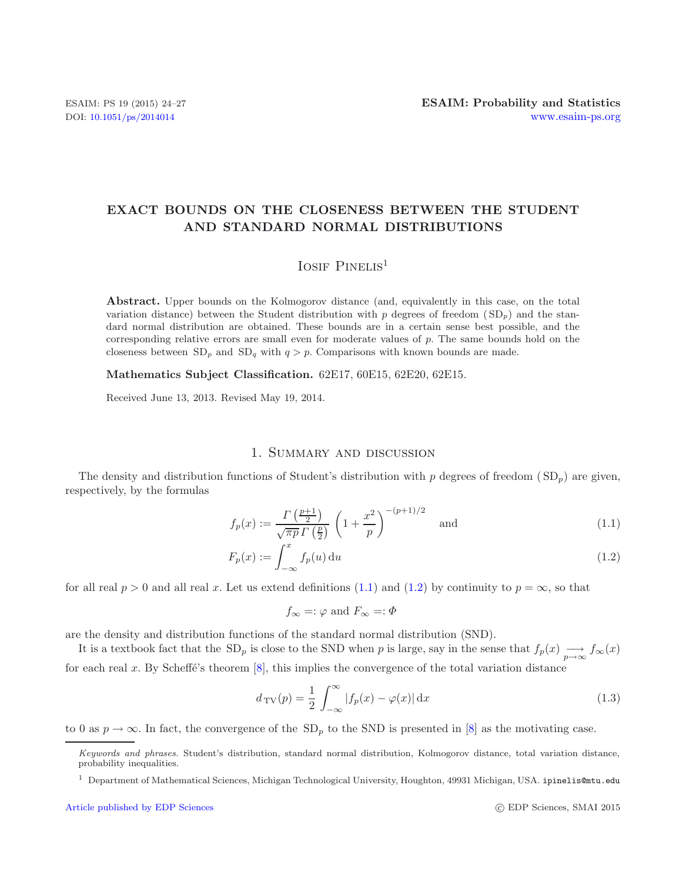# **EXACT BOUNDS ON THE CLOSENESS BETWEEN THE STUDENT AND STANDARD NORMAL DISTRIBUTIONS**

## <span id="page-0-1"></span><span id="page-0-0"></span>IOSIF PINELIS<sup>1</sup>

**Abstract.** Upper bounds on the Kolmogorov distance (and, equivalently in this case, on the total variation distance) between the Student distribution with  $p$  degrees of freedom  $(SD<sub>p</sub>)$  and the standard normal distribution are obtained. These bounds are in a certain sense best possible, and the corresponding relative errors are small even for moderate values of *p*. The same bounds hold on the closeness between  $SD_p$  and  $SD_q$  with  $q > p$ . Comparisons with known bounds are made.

**Mathematics Subject Classification.** 62E17, 60E15, 62E20, 62E15.

Received June 13, 2013. Revised May 19, 2014.

## 1. Summary and discussion

The density and distribution functions of Student's distribution with p degrees of freedom ( $SD<sub>p</sub>$ ) are given, respectively, by the formulas

$$
f_p(x) := \frac{\Gamma\left(\frac{p+1}{2}\right)}{\sqrt{\pi p} \Gamma\left(\frac{p}{2}\right)} \left(1 + \frac{x^2}{p}\right)^{-(p+1)/2} \quad \text{and} \tag{1.1}
$$

$$
F_p(x) := \int_{-\infty}^x f_p(u) \, \mathrm{d}u \tag{1.2}
$$

for all real p > 0 and all real x. Let us extend definitions [\(1.1\)](#page-0-0) and [\(1.2\)](#page-0-1) by continuity to  $p = \infty$ , so that

$$
f_{\infty} =: \varphi
$$
 and  $F_{\infty} =: \Phi$ 

are the density and distribution functions of the standard normal distribution (SND).

It is a textbook fact that the SD<sub>p</sub> is close to the SND when p is large, say in the sense that  $f_p(x) \longrightarrow_{\infty} f_{\infty}(x)$ for each real x. By Scheffé's theorem  $[8]$ , this implies the convergence of the total variation distance

$$
d_{\text{TV}}(p) = \frac{1}{2} \int_{-\infty}^{\infty} |f_p(x) - \varphi(x)| \,dx \tag{1.3}
$$

to 0 as  $p \to \infty$ . In fact, the convergence of the SD<sub>p</sub> to the SND is presented in [\[8\]](#page-3-0) as the motivating case.

*Keywords and phrases.* Student's distribution, standard normal distribution, Kolmogorov distance, total variation distance, probability inequalities.

<sup>1</sup> Department of Mathematical Sciences, Michigan Technological University, Houghton, 49931 Michigan, USA. ipinelis@mtu.edu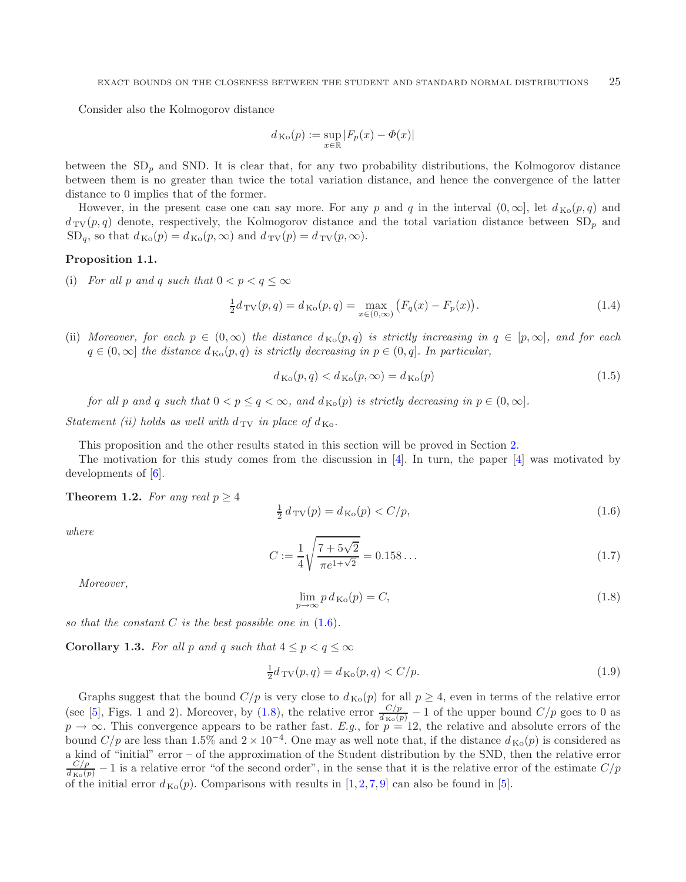Consider also the Kolmogorov distance

<span id="page-1-3"></span>
$$
d_{\mathrm{Ko}}(p):=\sup_{x\in\mathbb{R}}|F_p(x)-\varPhi(x)|
$$

between the  $SD<sub>p</sub>$  and SND. It is clear that, for any two probability distributions, the Kolmogorov distance between them is no greater than twice the total variation distance, and hence the convergence of the latter distance to 0 implies that of the former.

However, in the present case one can say more. For any p and q in the interval  $(0, \infty)$ , let  $d_{\text{Ko}}(p, q)$  and  $d_{\text{TV}}(p, q)$  denote, respectively, the Kolmogorov distance and the total variation distance between  $SD_p$  and  $SD_q$ , so that  $d_{\text{Ko}}(p) = d_{\text{Ko}}(p,\infty)$  and  $d_{\text{TV}}(p) = d_{\text{TV}}(p,\infty)$ .

#### <span id="page-1-2"></span>**Proposition 1.1.**

(i) *For all* p and q such that  $0 < p < q \leq \infty$ 

<span id="page-1-0"></span>
$$
\frac{1}{2}d_{\text{TV}}(p,q) = d_{\text{Ko}}(p,q) = \max_{x \in (0,\infty)} \left( F_q(x) - F_p(x) \right). \tag{1.4}
$$

(ii) *Moreover, for each*  $p \in (0,\infty)$  *the distance*  $d_{\text{Ko}}(p,q)$  *is strictly increasing in*  $q \in [p,\infty]$ *, and for each*  $q \in (0,\infty]$  *the distance*  $d_{K_0}(p,q)$  *is strictly decreasing in*  $p \in (0,q]$ *. In particular,* 

$$
d_{\text{Ko}}(p,q) < d_{\text{Ko}}(p,\infty) = d_{\text{Ko}}(p) \tag{1.5}
$$

*for all* p and q such that  $0 < p \le q < \infty$ , and  $d_{K_0}(p)$  is strictly decreasing in  $p \in (0, \infty]$ *.* 

<span id="page-1-1"></span>*Statement (ii) holds as well with*  $d_{\text{TV}}$  *in place of*  $d_{\text{Ko}}$ *.* 

This proposition and the other results stated in this section will be proved in Section [2.](#page-2-0)

<span id="page-1-4"></span>The motivation for this study comes from the discussion in  $[4]$  $[4]$ . In turn, the paper  $[4]$  was motivated by developments of [\[6\]](#page-3-2).

**Theorem 1.2.** *For any real*  $p \geq 4$ 

$$
\frac{1}{2} d_{\text{TV}}(p) = d_{\text{Ko}}(p) < C/p,\tag{1.6}
$$

*where*

$$
C := \frac{1}{4} \sqrt{\frac{7 + 5\sqrt{2}}{\pi e^{1 + \sqrt{2}}}} = 0.158 \dots \tag{1.7}
$$

*Moreover,*

$$
\lim_{p \to \infty} p \, d_{\text{Ko}}(p) = C,\tag{1.8}
$$

*so that the constant* C *is the best possible one in* [\(1.6\)](#page-1-0)*.*

**Corollary 1.3.** *For all* p and q *such that*  $4 \leq p < q \leq \infty$ 

$$
\frac{1}{2}d_{\text{TV}}(p,q) = d_{\text{Ko}}(p,q) < C/p. \tag{1.9}
$$

Graphs suggest that the bound  $C/p$  is very close to  $d_{\text{Ko}}(p)$  for all  $p \geq 4$ , even in terms of the relative error (see [\[5\]](#page-3-3), Figs. 1 and 2). Moreover, by [\(1.8\)](#page-1-1), the relative error  $\frac{C/p}{d_{\text{Ko}}(p)} - 1$  of the upper bound  $C/p$  goes to 0 as  $p \to \infty$ . This convergence appears to be rather fast. *E.g.*, for  $p = 12$ , the relative and absolute errors of the bound  $C/p$  are less than 1.5% and  $2 \times 10^{-4}$ . One may as well note that, if the distance  $d_{\text{Ko}}(p)$  is considered as a kind of "initial" error – of the approximation of the Student distribution by the SND, then the relative error  $\frac{C/p}{d_{\text{Ko}}(p)} - 1$  is a relative error "of the second order", in the sense that it is the relative error of the estimate  $C/p$ of the initial error  $d_{\text{Ko}}(p)$ . Comparisons with results in [\[1,](#page-3-4)[2,](#page-3-5)[7,](#page-3-6)[9\]](#page-3-7) can also be found in [\[5\]](#page-3-3).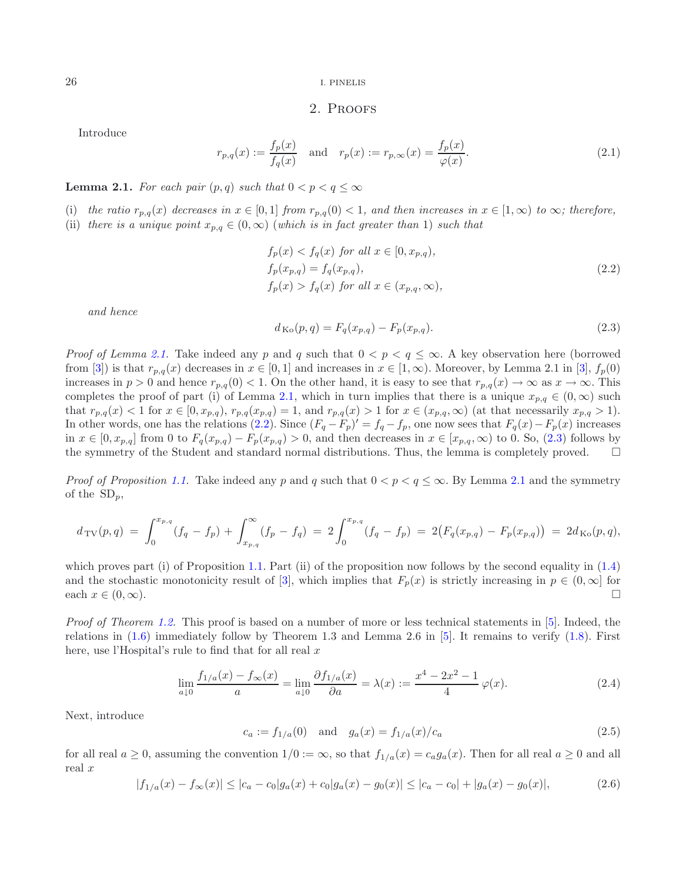<span id="page-2-0"></span>26 I. PINELIS

### <span id="page-2-2"></span>2. Proofs

<span id="page-2-3"></span>Introduce

$$
r_{p,q}(x) := \frac{f_p(x)}{f_q(x)} \quad \text{and} \quad r_p(x) := r_{p,\infty}(x) = \frac{f_p(x)}{\varphi(x)}.
$$
 (2.1)

<span id="page-2-1"></span>**Lemma 2.1.** *For each pair*  $(p, q)$  *such that*  $0 < p < q \leq \infty$ 

- (i) the ratio  $r_{p,q}(x)$  decreases in  $x \in [0,1]$  from  $r_{p,q}(0) < 1$ , and then increases in  $x \in [1,\infty)$  to  $\infty$ ; therefore,
- (ii) *there is a unique point*  $x_{p,q} \in (0,\infty)$  (*which is in fact greater than* 1) *such that*

$$
f_p(x) < f_q(x) \text{ for all } x \in [0, x_{p,q}),
$$
\n
$$
f_p(x_{p,q}) = f_q(x_{p,q}),
$$
\n
$$
f_p(x) > f_q(x) \text{ for all } x \in (x_{p,q}, \infty),
$$
\n
$$
(2.2)
$$

*and hence*

<span id="page-2-4"></span>
$$
d_{\text{Ko}}(p,q) = F_q(x_{p,q}) - F_p(x_{p,q}).
$$
\n(2.3)

*Proof of Lemma [2.1.](#page-2-1)* Take indeed any p and q such that  $0 < p < q \leq \infty$ . A key observation here (borrowed from [\[3\]](#page-3-8)) is that  $r_{p,q}(x)$  decreases in  $x \in [0,1]$  and increases in  $x \in [1,\infty)$ . Moreover, by Lemma 2.1 in [3],  $f_p(0)$ increases in  $p > 0$  and hence  $r_{p,q}(0) < 1$ . On the other hand, it is easy to see that  $r_{p,q}(x) \to \infty$  as  $x \to \infty$ . This completes the proof of part (i) of Lemma [2.1,](#page-2-1) which in turn implies that there is a unique  $x_{p,q} \in (0,\infty)$  such that  $r_{p,q}(x) < 1$  for  $x \in [0, x_{p,q}), r_{p,q}(x_{p,q}) = 1$ , and  $r_{p,q}(x) > 1$  for  $x \in (x_{p,q}, \infty)$  (at that necessarily  $x_{p,q} > 1$ ). In other words, one has the relations [\(2.2\)](#page-2-2). Since  $(F_q - F_p)' = f_q - f_p$ , one now sees that  $F_q(x) - F_p(x)$  increases in  $x \in [0, x_{p,q}]$  from 0 to  $F_q(x_{p,q}) - F_p(x_{p,q}) > 0$ , and then decreases in  $x \in [x_{p,q}, \infty)$  to 0. So, [\(2.3\)](#page-2-3) follows by the symmetry of the Student and standard normal distributions. Thus, the lemma is completely proved. □ the symmetry of the Student and standard normal distributions. Thus, the lemma is completely proved. -

*Proof of Proposition [1.1.](#page-1-2)* Take indeed any p and q such that  $0 < p < q \leq \infty$ . By Lemma [2.1](#page-2-1) and the symmetry of the  $SD_p$ ,

$$
d_{\text{TV}}(p,q) = \int_0^{x_{p,q}} (f_q - f_p) + \int_{x_{p,q}}^{\infty} (f_p - f_q) = 2 \int_0^{x_{p,q}} (f_q - f_p) = 2(F_q(x_{p,q}) - F_p(x_{p,q})) = 2d_{\text{Ko}}(p,q),
$$

<span id="page-2-5"></span>which proves part (i) of Proposition [1.1.](#page-1-2) Part (ii) of the proposition now follows by the second equality in  $(1.4)$ and the stochastic monotonicity result of [\[3\]](#page-3-8), which implies that  $F_p(x)$  is strictly increasing in  $p \in (0, \infty)$  for each  $x \in (0, \infty)$ . each  $x \in (0, \infty)$ .

<span id="page-2-6"></span>*Proof of Theorem [1.2.](#page-1-4)* This proof is based on a number of more or less technical statements in [\[5\]](#page-3-3). Indeed, the relations in  $(1.6)$  immediately follow by Theorem 1.3 and Lemma 2.6 in [\[5\]](#page-3-3). It remains to verify  $(1.8)$ . First here, use l'Hospital's rule to find that for all real  $x$ 

$$
\lim_{a \downarrow 0} \frac{f_{1/a}(x) - f_{\infty}(x)}{a} = \lim_{a \downarrow 0} \frac{\partial f_{1/a}(x)}{\partial a} = \lambda(x) := \frac{x^4 - 2x^2 - 1}{4} \varphi(x). \tag{2.4}
$$

Next, introduce

$$
c_a := f_{1/a}(0) \quad \text{and} \quad g_a(x) = f_{1/a}(x)/c_a \tag{2.5}
$$

for all real  $a \geq 0$ , assuming the convention  $1/0 := \infty$ , so that  $f_{1/a}(x) = c_a g_a(x)$ . Then for all real  $a \geq 0$  and all real x

$$
|f_{1/a}(x) - f_{\infty}(x)| \le |c_a - c_0|g_a(x) + c_0|g_a(x) - g_0(x)| \le |c_a - c_0| + |g_a(x) - g_0(x)|,
$$
\n(2.6)